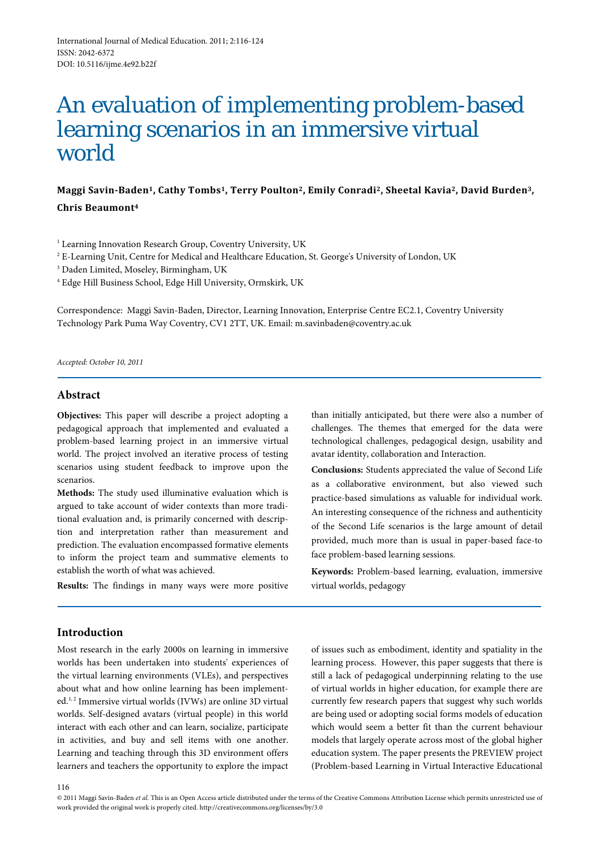# An evaluation of implementing problem-based learning scenarios in an immersive virtual world

**Maggi Savin-Baden1, Cathy Tombs1, Terry Poulton2, Emily Conradi2, Sheetal Kavia2, David Burden3, Chris Beaumont4**

<sup>1</sup> Learning Innovation Research Group, Coventry University, UK

<sup>2</sup> E-Learning Unit, Centre for Medical and Healthcare Education, St. George's University of London, UK

<sup>3</sup> Daden Limited, Moseley, Birmingham, UK

<sup>4</sup> Edge Hill Business School, Edge Hill University, Ormskirk, UK

Correspondence: Maggi Savin-Baden, Director, Learning Innovation, Enterprise Centre EC2.1, Coventry University Technology Park Puma Way Coventry, CV1 2TT, UK. Email: m.savinbaden@coventry.ac.uk

*Accepted: October 10, 2011*

# **Abstract**

**Objectives:** This paper will describe a project adopting a pedagogical approach that implemented and evaluated a problem-based learning project in an immersive virtual world. The project involved an iterative process of testing scenarios using student feedback to improve upon the scenarios.

**Methods:** The study used illuminative evaluation which is argued to take account of wider contexts than more traditional evaluation and, is primarily concerned with description and interpretation rather than measurement and prediction. The evaluation encompassed formative elements to inform the project team and summative elements to establish the worth of what was achieved.

**Results:** The findings in many ways were more positive

than initially anticipated, but there were also a number of challenges. The themes that emerged for the data were technological challenges, pedagogical design, usability and avatar identity, collaboration and Interaction.

**Conclusions:** Students appreciated the value of Second Life as a collaborative environment, but also viewed such practice-based simulations as valuable for individual work. An interesting consequence of the richness and authenticity of the Second Life scenarios is the large amount of detail provided, much more than is usual in paper-based face-to face problem-based learning sessions.

**Keywords:** Problem-based learning, evaluation, immersive virtual worlds, pedagogy

# **Introduction**

Most research in the early 2000s on learning in immersive worlds has been undertaken into students' experiences of the virtual learning environments (VLEs), and perspectives about what and how online learning has been implemented.<sup>1,2</sup> Immersive virtual worlds (IVWs) are online 3D virtual worlds. Self-designed avatars (virtual people) in this world interact with each other and can learn, socialize, participate in activities, and buy and sell items with one another. Learning and teaching through this 3D environment offers learners and teachers the opportunity to explore the impact

of issues such as embodiment, identity and spatiality in the learning process. However, this paper suggests that there is still a lack of pedagogical underpinning relating to the use of virtual worlds in higher education, for example there are currently few research papers that suggest why such worlds are being used or adopting social forms models of education which would seem a better fit than the current behaviour models that largely operate across most of the global higher education system. The paper presents the PREVIEW project (Problem-based Learning in Virtual Interactive Educational

<sup>© 2011</sup> Maggi Savin-Baden *et al*. This is an Open Access article distributed under the terms of the Creative Commons Attribution License which permits unrestricted use of work provided the original work is properly cited. http://creativecommons.org/licenses/by/3.0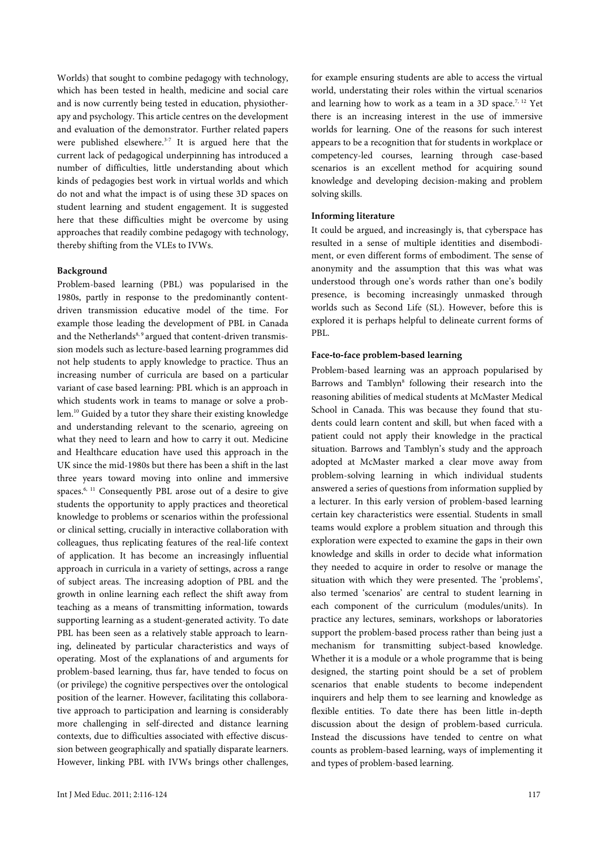Worlds) that sought to combine pedagogy with technology, which has been tested in health, medicine and social care and is now currently being tested in education, physiotherapy and psychology. This article centres on the development and evaluation of the demonstrator. Further related papers were published elsewhere.<sup>3-7</sup> It is argued here that the current lack of pedagogical underpinning has introduced a number of difficulties, little understanding about which kinds of pedagogies best work in virtual worlds and which do not and what the impact is of using these 3D spaces on student learning and student engagement. It is suggested here that these difficulties might be overcome by using approaches that readily combine pedagogy with technology, thereby shifting from the VLEs to IVWs.

## **Background**

Problem-based learning (PBL) was popularised in the 1980s, partly in response to the predominantly contentdriven transmission educative model of the time. For example those leading the development of PBL in Canada and the Netherlands<sup>8, 9</sup> argued that content-driven transmission models such as lecture-based learning programmes did not help students to apply knowledge to practice. Thus an increasing number of curricula are based on a particular variant of case based learning: PBL which is an approach in which students work in teams to manage or solve a problem.10 Guided by a tutor they share their existing knowledge and understanding relevant to the scenario, agreeing on what they need to learn and how to carry it out. Medicine and Healthcare education have used this approach in the UK since the mid-1980s but there has been a shift in the last three years toward moving into online and immersive spaces.<sup>6, 11</sup> Consequently PBL arose out of a desire to give students the opportunity to apply practices and theoretical knowledge to problems or scenarios within the professional or clinical setting, crucially in interactive collaboration with colleagues, thus replicating features of the real-life context of application. It has become an increasingly influential approach in curricula in a variety of settings, across a range of subject areas. The increasing adoption of PBL and the growth in online learning each reflect the shift away from teaching as a means of transmitting information, towards supporting learning as a student-generated activity. To date PBL has been seen as a relatively stable approach to learning, delineated by particular characteristics and ways of operating. Most of the explanations of and arguments for problem-based learning, thus far, have tended to focus on (or privilege) the cognitive perspectives over the ontological position of the learner. However, facilitating this collaborative approach to participation and learning is considerably more challenging in self-directed and distance learning contexts, due to difficulties associated with effective discussion between geographically and spatially disparate learners. However, linking PBL with IVWs brings other challenges,

for example ensuring students are able to access the virtual world, understating their roles within the virtual scenarios and learning how to work as a team in a 3D space.<sup>7, 12</sup> Yet there is an increasing interest in the use of immersive worlds for learning. One of the reasons for such interest appears to be a recognition that for students in workplace or competency-led courses, learning through case-based scenarios is an excellent method for acquiring sound knowledge and developing decision-making and problem solving skills.

# **Informing literature**

It could be argued, and increasingly is, that cyberspace has resulted in a sense of multiple identities and disembodiment, or even different forms of embodiment. The sense of anonymity and the assumption that this was what was understood through one's words rather than one's bodily presence, is becoming increasingly unmasked through worlds such as Second Life (SL). However, before this is explored it is perhaps helpful to delineate current forms of PBL.

#### **Face-to-face problem-based learning**

Problem-based learning was an approach popularised by Barrows and Tamblyn<sup>8</sup> following their research into the reasoning abilities of medical students at McMaster Medical School in Canada. This was because they found that students could learn content and skill, but when faced with a patient could not apply their knowledge in the practical situation. Barrows and Tamblyn's study and the approach adopted at McMaster marked a clear move away from problem-solving learning in which individual students answered a series of questions from information supplied by a lecturer. In this early version of problem-based learning certain key characteristics were essential. Students in small teams would explore a problem situation and through this exploration were expected to examine the gaps in their own knowledge and skills in order to decide what information they needed to acquire in order to resolve or manage the situation with which they were presented. The 'problems', also termed 'scenarios' are central to student learning in each component of the curriculum (modules/units). In practice any lectures, seminars, workshops or laboratories support the problem-based process rather than being just a mechanism for transmitting subject-based knowledge. Whether it is a module or a whole programme that is being designed, the starting point should be a set of problem scenarios that enable students to become independent inquirers and help them to see learning and knowledge as flexible entities. To date there has been little in-depth discussion about the design of problem-based curricula. Instead the discussions have tended to centre on what counts as problem-based learning, ways of implementing it and types of problem-based learning.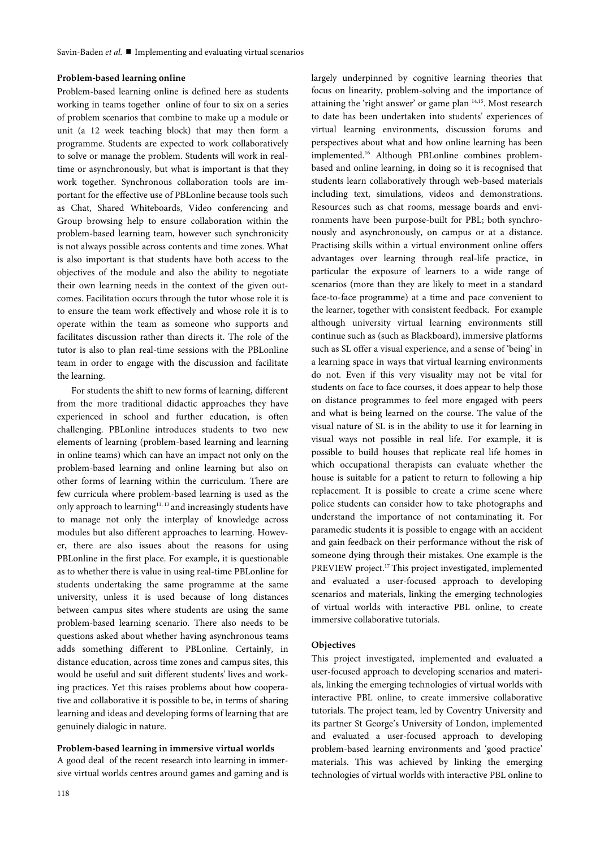## **Problem-based learning online**

Problem-based learning online is defined here as students working in teams together online of four to six on a series of problem scenarios that combine to make up a module or unit (a 12 week teaching block) that may then form a programme. Students are expected to work collaboratively to solve or manage the problem. Students will work in realtime or asynchronously, but what is important is that they work together. Synchronous collaboration tools are important for the effective use of PBLonline because tools such as Chat, Shared Whiteboards, Video conferencing and Group browsing help to ensure collaboration within the problem-based learning team, however such synchronicity is not always possible across contents and time zones. What is also important is that students have both access to the objectives of the module and also the ability to negotiate their own learning needs in the context of the given outcomes. Facilitation occurs through the tutor whose role it is to ensure the team work effectively and whose role it is to operate within the team as someone who supports and facilitates discussion rather than directs it. The role of the tutor is also to plan real-time sessions with the PBLonline team in order to engage with the discussion and facilitate the learning.

For students the shift to new forms of learning, different from the more traditional didactic approaches they have experienced in school and further education, is often challenging. PBLonline introduces students to two new elements of learning (problem-based learning and learning in online teams) which can have an impact not only on the problem-based learning and online learning but also on other forms of learning within the curriculum. There are few curricula where problem-based learning is used as the only approach to learning<sup>11, 13</sup> and increasingly students have to manage not only the interplay of knowledge across modules but also different approaches to learning. However, there are also issues about the reasons for using PBLonline in the first place. For example, it is questionable as to whether there is value in using real-time PBLonline for students undertaking the same programme at the same university, unless it is used because of long distances between campus sites where students are using the same problem-based learning scenario. There also needs to be questions asked about whether having asynchronous teams adds something different to PBLonline. Certainly, in distance education, across time zones and campus sites, this would be useful and suit different students' lives and working practices. Yet this raises problems about how cooperative and collaborative it is possible to be, in terms of sharing learning and ideas and developing forms of learning that are genuinely dialogic in nature.

## **Problem-based learning in immersive virtual worlds**

A good deal of the recent research into learning in immersive virtual worlds centres around games and gaming and is

focus on linearity, problem-solving and the importance of attaining the 'right answer' or game plan 14,15. Most research to date has been undertaken into students' experiences of virtual learning environments, discussion forums and perspectives about what and how online learning has been implemented.16 Although PBLonline combines problembased and online learning, in doing so it is recognised that students learn collaboratively through web-based materials including text, simulations, videos and demonstrations. Resources such as chat rooms, message boards and environments have been purpose-built for PBL; both synchronously and asynchronously, on campus or at a distance. Practising skills within a virtual environment online offers advantages over learning through real-life practice, in particular the exposure of learners to a wide range of scenarios (more than they are likely to meet in a standard face-to-face programme) at a time and pace convenient to the learner, together with consistent feedback. For example although university virtual learning environments still continue such as (such as Blackboard), immersive platforms such as SL offer a visual experience, and a sense of 'being' in a learning space in ways that virtual learning environments do not. Even if this very visuality may not be vital for students on face to face courses, it does appear to help those on distance programmes to feel more engaged with peers and what is being learned on the course. The value of the visual nature of SL is in the ability to use it for learning in visual ways not possible in real life. For example, it is possible to build houses that replicate real life homes in which occupational therapists can evaluate whether the house is suitable for a patient to return to following a hip replacement. It is possible to create a crime scene where police students can consider how to take photographs and understand the importance of not contaminating it. For paramedic students it is possible to engage with an accident and gain feedback on their performance without the risk of someone dying through their mistakes. One example is the PREVIEW project.17 This project investigated, implemented and evaluated a user-focused approach to developing scenarios and materials, linking the emerging technologies of virtual worlds with interactive PBL online, to create immersive collaborative tutorials.

largely underpinned by cognitive learning theories that

# **Objectives**

This project investigated, implemented and evaluated a user-focused approach to developing scenarios and materials, linking the emerging technologies of virtual worlds with interactive PBL online, to create immersive collaborative tutorials. The project team, led by Coventry University and its partner St George's University of London, implemented and evaluated a user-focused approach to developing problem-based learning environments and 'good practice' materials. This was achieved by linking the emerging technologies of virtual worlds with interactive PBL online to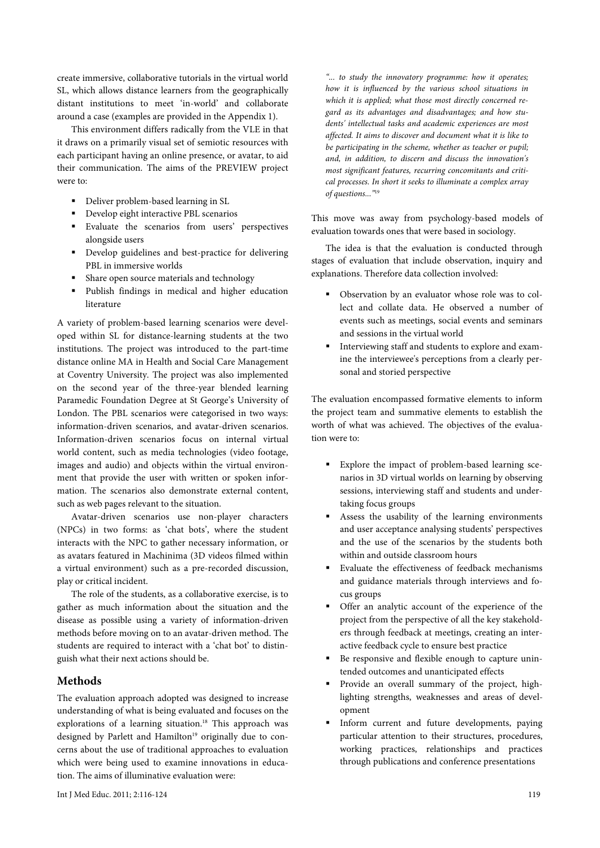create immersive, collaborative tutorials in the virtual world SL, which allows distance learners from the geographically distant institutions to meet 'in-world' and collaborate around a case (examples are provided in the Appendix 1).

This environment differs radically from the VLE in that it draws on a primarily visual set of semiotic resources with each participant having an online presence, or avatar, to aid their communication. The aims of the PREVIEW project were to:

- Deliver problem-based learning in SL
- **Develop eight interactive PBL scenarios**
- Evaluate the scenarios from users' perspectives alongside users
- Develop guidelines and best-practice for delivering PBL in immersive worlds
- **Share open source materials and technology**
- Publish findings in medical and higher education literature

A variety of problem-based learning scenarios were developed within SL for distance-learning students at the two institutions. The project was introduced to the part-time distance online MA in Health and Social Care Management at Coventry University. The project was also implemented on the second year of the three-year blended learning Paramedic Foundation Degree at St George's University of London. The PBL scenarios were categorised in two ways: information-driven scenarios, and avatar-driven scenarios. Information-driven scenarios focus on internal virtual world content, such as media technologies (video footage, images and audio) and objects within the virtual environment that provide the user with written or spoken information. The scenarios also demonstrate external content, such as web pages relevant to the situation.

Avatar-driven scenarios use non-player characters (NPCs) in two forms: as 'chat bots', where the student interacts with the NPC to gather necessary information, or as avatars featured in Machinima (3D videos filmed within a virtual environment) such as a pre-recorded discussion, play or critical incident.

The role of the students, as a collaborative exercise, is to gather as much information about the situation and the disease as possible using a variety of information-driven methods before moving on to an avatar-driven method. The students are required to interact with a 'chat bot' to distinguish what their next actions should be.

# **Methods**

The evaluation approach adopted was designed to increase understanding of what is being evaluated and focuses on the explorations of a learning situation.<sup>18</sup> This approach was designed by Parlett and Hamilton<sup>19</sup> originally due to concerns about the use of traditional approaches to evaluation which were being used to examine innovations in education. The aims of illuminative evaluation were:

*"... to study the innovatory programme: how it operates; how it is influenced by the various school situations in which it is applied; what those most directly concerned regard as its advantages and disadvantages; and how students' intellectual tasks and academic experiences are most affected. It aims to discover and document what it is like to be participating in the scheme, whether as teacher or pupil; and, in addition, to discern and discuss the innovation's most significant features, recurring concomitants and critical processes. In short it seeks to illuminate a complex array of questions..."*<sup>19</sup>

This move was away from psychology-based models of evaluation towards ones that were based in sociology.

The idea is that the evaluation is conducted through stages of evaluation that include observation, inquiry and explanations. Therefore data collection involved:

- Observation by an evaluator whose role was to collect and collate data. He observed a number of events such as meetings, social events and seminars and sessions in the virtual world
- Interviewing staff and students to explore and examine the interviewee's perceptions from a clearly personal and storied perspective

The evaluation encompassed formative elements to inform the project team and summative elements to establish the worth of what was achieved. The objectives of the evaluation were to:

- Explore the impact of problem-based learning scenarios in 3D virtual worlds on learning by observing sessions, interviewing staff and students and undertaking focus groups
- Assess the usability of the learning environments and user acceptance analysing students' perspectives and the use of the scenarios by the students both within and outside classroom hours
- Evaluate the effectiveness of feedback mechanisms and guidance materials through interviews and focus groups
- Offer an analytic account of the experience of the project from the perspective of all the key stakeholders through feedback at meetings, creating an interactive feedback cycle to ensure best practice
- Be responsive and flexible enough to capture unintended outcomes and unanticipated effects
- Provide an overall summary of the project, highlighting strengths, weaknesses and areas of development
- Inform current and future developments, paying particular attention to their structures, procedures, working practices, relationships and practices through publications and conference presentations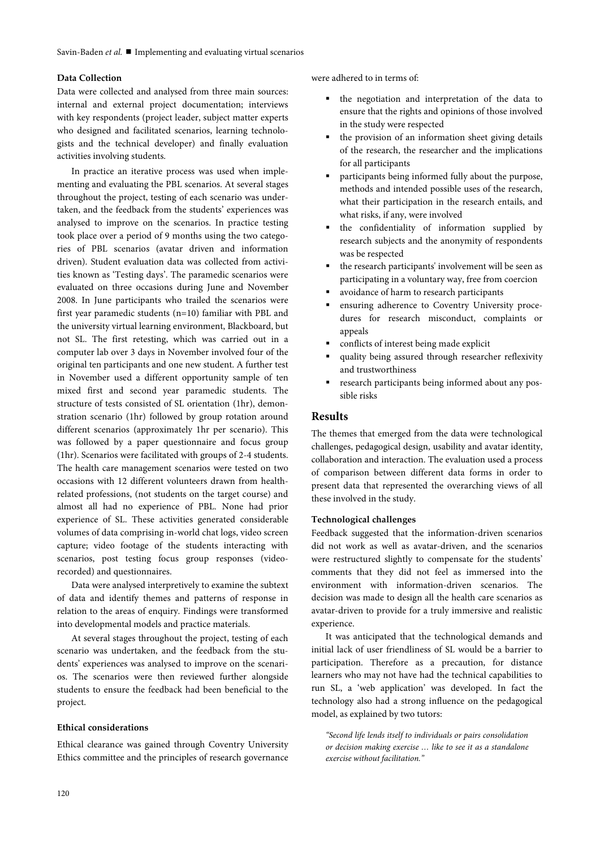## **Data Collection**

Data were collected and analysed from three main sources: internal and external project documentation; interviews with key respondents (project leader, subject matter experts who designed and facilitated scenarios, learning technologists and the technical developer) and finally evaluation activities involving students.

In practice an iterative process was used when implementing and evaluating the PBL scenarios. At several stages throughout the project, testing of each scenario was undertaken, and the feedback from the students' experiences was analysed to improve on the scenarios. In practice testing took place over a period of 9 months using the two categories of PBL scenarios (avatar driven and information driven). Student evaluation data was collected from activities known as 'Testing days'. The paramedic scenarios were evaluated on three occasions during June and November 2008. In June participants who trailed the scenarios were first year paramedic students (n=10) familiar with PBL and the university virtual learning environment, Blackboard, but not SL. The first retesting, which was carried out in a computer lab over 3 days in November involved four of the original ten participants and one new student. A further test in November used a different opportunity sample of ten mixed first and second year paramedic students. The structure of tests consisted of SL orientation (1hr), demonstration scenario (1hr) followed by group rotation around different scenarios (approximately 1hr per scenario). This was followed by a paper questionnaire and focus group (1hr). Scenarios were facilitated with groups of 2-4 students. The health care management scenarios were tested on two occasions with 12 different volunteers drawn from healthrelated professions, (not students on the target course) and almost all had no experience of PBL. None had prior experience of SL. These activities generated considerable volumes of data comprising in-world chat logs, video screen capture; video footage of the students interacting with scenarios, post testing focus group responses (videorecorded) and questionnaires.

Data were analysed interpretively to examine the subtext of data and identify themes and patterns of response in relation to the areas of enquiry. Findings were transformed into developmental models and practice materials.

At several stages throughout the project, testing of each scenario was undertaken, and the feedback from the students' experiences was analysed to improve on the scenarios. The scenarios were then reviewed further alongside students to ensure the feedback had been beneficial to the project.

# **Ethical considerations**

Ethical clearance was gained through Coventry University Ethics committee and the principles of research governance were adhered to in terms of:

- the negotiation and interpretation of the data to ensure that the rights and opinions of those involved in the study were respected
- the provision of an information sheet giving details of the research, the researcher and the implications for all participants
- participants being informed fully about the purpose, methods and intended possible uses of the research, what their participation in the research entails, and what risks, if any, were involved
- the confidentiality of information supplied by research subjects and the anonymity of respondents was be respected
- the research participants' involvement will be seen as participating in a voluntary way, free from coercion
- avoidance of harm to research participants
- ensuring adherence to Coventry University procedures for research misconduct, complaints or appeals
- conflicts of interest being made explicit
- quality being assured through researcher reflexivity and trustworthiness
- research participants being informed about any possible risks

# **Results**

The themes that emerged from the data were technological challenges, pedagogical design, usability and avatar identity, collaboration and interaction. The evaluation used a process of comparison between different data forms in order to present data that represented the overarching views of all these involved in the study.

#### **Technological challenges**

Feedback suggested that the information-driven scenarios did not work as well as avatar-driven, and the scenarios were restructured slightly to compensate for the students' comments that they did not feel as immersed into the environment with information-driven scenarios. The decision was made to design all the health care scenarios as avatar-driven to provide for a truly immersive and realistic experience.

It was anticipated that the technological demands and initial lack of user friendliness of SL would be a barrier to participation. Therefore as a precaution, for distance learners who may not have had the technical capabilities to run SL, a 'web application' was developed. In fact the technology also had a strong influence on the pedagogical model, as explained by two tutors:

*"Second life lends itself to individuals or pairs consolidation or decision making exercise … like to see it as a standalone exercise without facilitation."*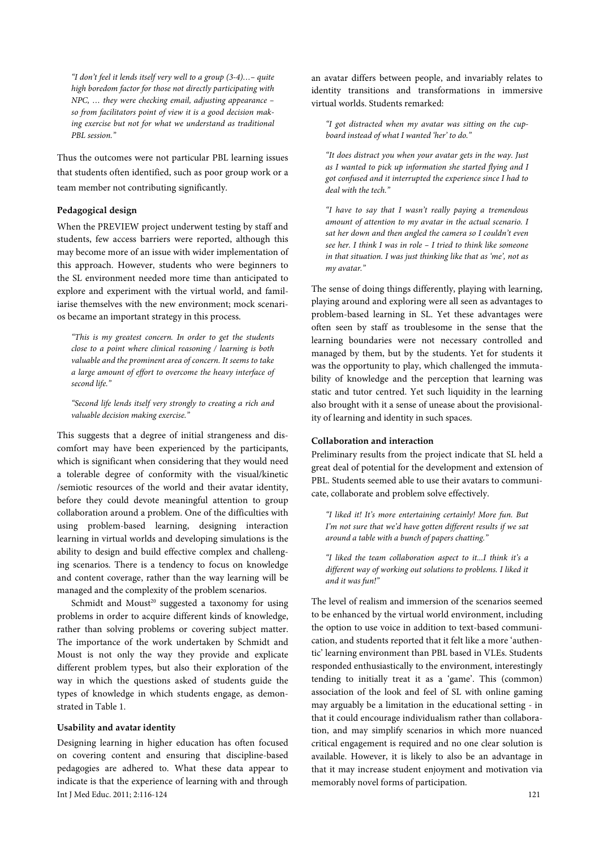*"I don't feel it lends itself very well to a group (3-4)…– quite high boredom factor for those not directly participating with NPC, … they were checking email, adjusting appearance – so from facilitators point of view it is a good decision making exercise but not for what we understand as traditional PBL session."*

Thus the outcomes were not particular PBL learning issues that students often identified, such as poor group work or a team member not contributing significantly.

## **Pedagogical design**

When the PREVIEW project underwent testing by staff and students, few access barriers were reported, although this may become more of an issue with wider implementation of this approach. However, students who were beginners to the SL environment needed more time than anticipated to explore and experiment with the virtual world, and familiarise themselves with the new environment; mock scenarios became an important strategy in this process.

*"This is my greatest concern. In order to get the students close to a point where clinical reasoning / learning is both valuable and the prominent area of concern. It seems to take a large amount of effort to overcome the heavy interface of second life."*

*"Second life lends itself very strongly to creating a rich and valuable decision making exercise."*

This suggests that a degree of initial strangeness and discomfort may have been experienced by the participants, which is significant when considering that they would need a tolerable degree of conformity with the visual/kinetic /semiotic resources of the world and their avatar identity, before they could devote meaningful attention to group collaboration around a problem. One of the difficulties with using problem-based learning, designing interaction learning in virtual worlds and developing simulations is the ability to design and build effective complex and challenging scenarios. There is a tendency to focus on knowledge and content coverage, rather than the way learning will be managed and the complexity of the problem scenarios.

Schmidt and Moust<sup>20</sup> suggested a taxonomy for using problems in order to acquire different kinds of knowledge, rather than solving problems or covering subject matter. The importance of the work undertaken by Schmidt and Moust is not only the way they provide and explicate different problem types, but also their exploration of the way in which the questions asked of students guide the types of knowledge in which students engage, as demonstrated in Table 1.

## **Usability and avatar identity**

Int J Med Educ. 2011; 2:116-124 121 Designing learning in higher education has often focused on covering content and ensuring that discipline-based pedagogies are adhered to. What these data appear to indicate is that the experience of learning with and through

an avatar differs between people, and invariably relates to identity transitions and transformations in immersive virtual worlds. Students remarked:

*"I got distracted when my avatar was sitting on the cupboard instead of what I wanted 'her' to do."*

*"It does distract you when your avatar gets in the way. Just as I wanted to pick up information she started flying and I got confused and it interrupted the experience since I had to deal with the tech."*

*"I have to say that I wasn't really paying a tremendous amount of attention to my avatar in the actual scenario. I sat her down and then angled the camera so I couldn't even see her. I think I was in role – I tried to think like someone in that situation. I was just thinking like that as 'me', not as my avatar."*

The sense of doing things differently, playing with learning, playing around and exploring were all seen as advantages to problem-based learning in SL. Yet these advantages were often seen by staff as troublesome in the sense that the learning boundaries were not necessary controlled and managed by them, but by the students. Yet for students it was the opportunity to play, which challenged the immutability of knowledge and the perception that learning was static and tutor centred. Yet such liquidity in the learning also brought with it a sense of unease about the provisionality of learning and identity in such spaces.

## **Collaboration and interaction**

Preliminary results from the project indicate that SL held a great deal of potential for the development and extension of PBL. Students seemed able to use their avatars to communicate, collaborate and problem solve effectively.

*"I liked it! It's more entertaining certainly! More fun. But I'm not sure that we'd have gotten different results if we sat around a table with a bunch of papers chatting."*

*"I liked the team collaboration aspect to it...I think it's a different way of working out solutions to problems. I liked it and it was fun!"*

The level of realism and immersion of the scenarios seemed to be enhanced by the virtual world environment, including the option to use voice in addition to text-based communication, and students reported that it felt like a more 'authentic' learning environment than PBL based in VLEs. Students responded enthusiastically to the environment, interestingly tending to initially treat it as a 'game'. This (common) association of the look and feel of SL with online gaming may arguably be a limitation in the educational setting - in that it could encourage individualism rather than collaboration, and may simplify scenarios in which more nuanced critical engagement is required and no one clear solution is available. However, it is likely to also be an advantage in that it may increase student enjoyment and motivation via memorably novel forms of participation.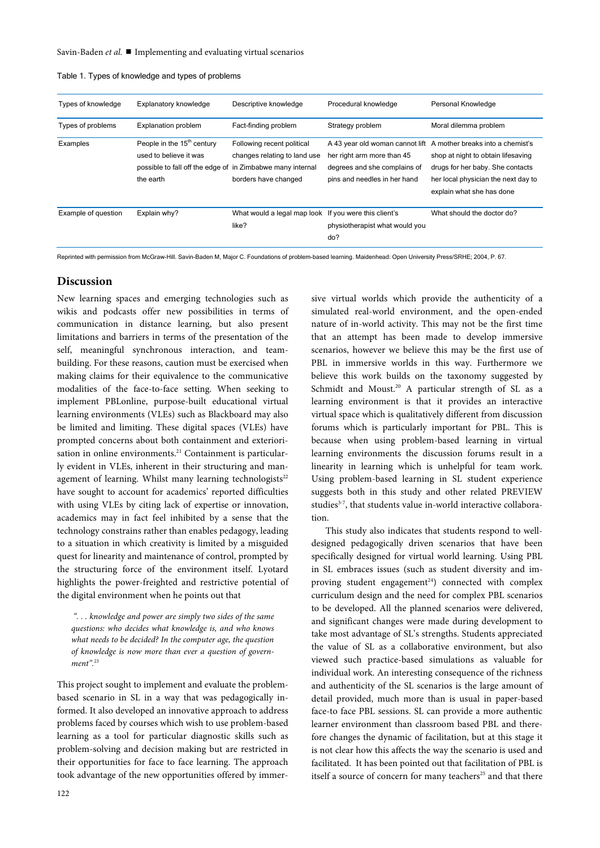|  |  | Table 1. Types of knowledge and types of problems |
|--|--|---------------------------------------------------|
|  |  |                                                   |

| Types of knowledge  | Explanatory knowledge                                                                                                             | Descriptive knowledge                                                              | Procedural knowledge                                                                       | Personal Knowledge                                                                                                                                                                                             |
|---------------------|-----------------------------------------------------------------------------------------------------------------------------------|------------------------------------------------------------------------------------|--------------------------------------------------------------------------------------------|----------------------------------------------------------------------------------------------------------------------------------------------------------------------------------------------------------------|
| Types of problems   | <b>Explanation problem</b>                                                                                                        | Fact-finding problem                                                               | Strategy problem                                                                           | Moral dilemma problem                                                                                                                                                                                          |
| Examples            | People in the $15th$ century<br>used to believe it was<br>possible to fall off the edge of in Zimbabwe many internal<br>the earth | Following recent political<br>changes relating to land use<br>borders have changed | her right arm more than 45<br>degrees and she complains of<br>pins and needles in her hand | A 43 year old woman cannot lift A mother breaks into a chemist's<br>shop at night to obtain lifesaving<br>drugs for her baby. She contacts<br>her local physician the next day to<br>explain what she has done |
| Example of question | Explain why?                                                                                                                      | What would a legal map look If you were this client's<br>like?                     | physiotherapist what would you<br>do?                                                      | What should the doctor do?                                                                                                                                                                                     |

Reprinted with permission from McGraw-Hill. Savin-Baden M, Major C. Foundations of problem-based learning. Maidenhead: Open University Press/SRHE; 2004, P. 67.

# **Discussion**

New learning spaces and emerging technologies such as wikis and podcasts offer new possibilities in terms of communication in distance learning, but also present limitations and barriers in terms of the presentation of the self, meaningful synchronous interaction, and teambuilding. For these reasons, caution must be exercised when making claims for their equivalence to the communicative modalities of the face-to-face setting. When seeking to implement PBLonline, purpose-built educational virtual learning environments (VLEs) such as Blackboard may also be limited and limiting. These digital spaces (VLEs) have prompted concerns about both containment and exteriorisation in online environments.<sup>21</sup> Containment is particularly evident in VLEs, inherent in their structuring and management of learning. Whilst many learning technologists<sup>22</sup> have sought to account for academics' reported difficulties with using VLEs by citing lack of expertise or innovation, academics may in fact feel inhibited by a sense that the technology constrains rather than enables pedagogy, leading to a situation in which creativity is limited by a misguided quest for linearity and maintenance of control, prompted by the structuring force of the environment itself. Lyotard highlights the power-freighted and restrictive potential of the digital environment when he points out that

*". . . knowledge and power are simply two sides of the same questions: who decides what knowledge is, and who knows what needs to be decided? In the computer age, the question of knowledge is now more than ever a question of government".*<sup>23</sup>

This project sought to implement and evaluate the problembased scenario in SL in a way that was pedagogically informed. It also developed an innovative approach to address problems faced by courses which wish to use problem-based learning as a tool for particular diagnostic skills such as problem-solving and decision making but are restricted in their opportunities for face to face learning. The approach took advantage of the new opportunities offered by immer-

sive virtual worlds which provide the authenticity of a simulated real-world environment, and the open-ended nature of in-world activity. This may not be the first time that an attempt has been made to develop immersive scenarios, however we believe this may be the first use of PBL in immersive worlds in this way. Furthermore we believe this work builds on the taxonomy suggested by Schmidt and Moust.<sup>20</sup> A particular strength of SL as a learning environment is that it provides an interactive virtual space which is qualitatively different from discussion forums which is particularly important for PBL. This is because when using problem-based learning in virtual learning environments the discussion forums result in a linearity in learning which is unhelpful for team work. Using problem-based learning in SL student experience suggests both in this study and other related PREVIEW studies<sup>3-7</sup>, that students value in-world interactive collaboration.

This study also indicates that students respond to welldesigned pedagogically driven scenarios that have been specifically designed for virtual world learning. Using PBL in SL embraces issues (such as student diversity and improving student engagement<sup>24</sup>) connected with complex curriculum design and the need for complex PBL scenarios to be developed. All the planned scenarios were delivered, and significant changes were made during development to take most advantage of SL's strengths. Students appreciated the value of SL as a collaborative environment, but also viewed such practice-based simulations as valuable for individual work. An interesting consequence of the richness and authenticity of the SL scenarios is the large amount of detail provided, much more than is usual in paper-based face-to face PBL sessions. SL can provide a more authentic learner environment than classroom based PBL and therefore changes the dynamic of facilitation, but at this stage it is not clear how this affects the way the scenario is used and facilitated. It has been pointed out that facilitation of PBL is itself a source of concern for many teachers<sup>25</sup> and that there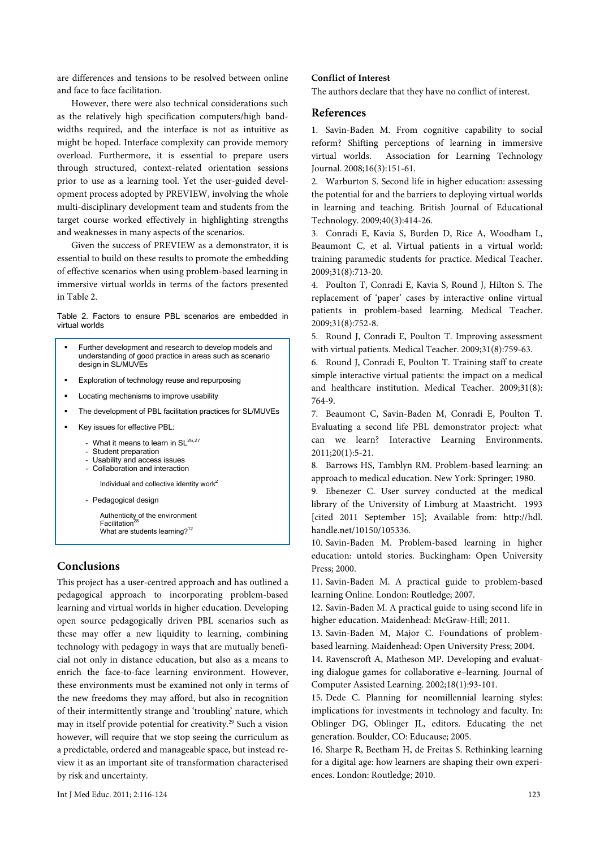are differences and tensions to be resolved between online and face to face facilitation.

However, there were also technical considerations such as the relatively high specification computers/high bandwidths required, and the interface is not as intuitive as might be hoped. Interface complexity can provide memory overload. Furthermore, it is essential to prepare users through structured, context-related orientation sessions prior to use as a learning tool. Yet the user-guided development process adopted by PREVIEW, involving the whole multi-disciplinary development team and students from the target course worked effectively in highlighting strengths and weaknesses in many aspects of the scenarios.

Given the success of PREVIEW as a demonstrator, it is essential to build on these results to promote the embedding of effective scenarios when using problem-based learning in immersive virtual worlds in terms of the factors presented in Table 2.

Table 2. Factors to ensure PBL scenarios are embedded in virtual worlds

- Further development and research to develop models and understanding of good practice in areas such as scenario design in SL/MUVEs
- Exploration of technology reuse and repurposing
- Locating mechanisms to improve usability
- The development of PBL facilitation practices for SL/MUVEs
- Key issues for effective PBL:
	- What it means to learn in  $SL^{26,27}$
	- Student preparation
	- Usability and access issues Collaboration and interaction
	-

Individual and collective identity work<sup>2</sup>

- Pedagogical design

Authenticity of the environment Facilitation What are students learning?<sup>12</sup>

# **Conclusions**

This project has a user-centred approach and has outlined a pedagogical approach to incorporating problem-based learning and virtual worlds in higher education. Developing open source pedagogically driven PBL scenarios such as these may offer a new liquidity to learning, combining technology with pedagogy in ways that are mutually beneficial not only in distance education, but also as a means to enrich the face-to-face learning environment. However, these environments must be examined not only in terms of the new freedoms they may afford, but also in recognition of their intermittently strange and 'troubling' nature, which may in itself provide potential for creativity.29 Such a vision however, will require that we stop seeing the curriculum as a predictable, ordered and manageable space, but instead review it as an important site of transformation characterised by risk and uncertainty.

The authors declare that they have no conflict of interest.

## **References**

1. Savin-Baden M. From cognitive capability to social reform? Shifting perceptions of learning in immersive virtual worlds. Association for Learning Technology Journal. 2008;16(3):151-61.

2. Warburton S. Second life in higher education: assessing the potential for and the barriers to deploying virtual worlds in learning and teaching. British Journal of Educational Technology. 2009;40(3):414-26.

3. Conradi E, Kavia S, Burden D, Rice A, Woodham L, Beaumont C, et al. Virtual patients in a virtual world: training paramedic students for practice. Medical Teacher. 2009;31(8):713-20.

4. Poulton T, Conradi E, Kavia S, Round J, Hilton S. The replacement of 'paper' cases by interactive online virtual patients in problem-based learning. Medical Teacher. 2009;31(8):752-8.

5. Round J, Conradi E, Poulton T. Improving assessment with virtual patients. Medical Teacher. 2009;31(8):759-63.

6. Round J, Conradi E, Poulton T. Training staff to create simple interactive virtual patients: the impact on a medical and healthcare institution. Medical Teacher. 2009;31(8): 764-9.

7. Beaumont C, Savin-Baden M, Conradi E, Poulton T. Evaluating a second life PBL demonstrator project: what can we learn? Interactive Learning Environments. 2011;20(1):5-21.

8. Barrows HS, Tamblyn RM. Problem-based learning: an approach to medical education. New York: Springer; 1980.

9. Ebenezer C. User survey conducted at the medical library of the University of Limburg at Maastricht. 1993 [cited 2011 September 15]; Available from: http://hdl. handle.net/10150/105336.

10. Savin-Baden M. Problem-based learning in higher education: untold stories. Buckingham: Open University Press; 2000.

11. Savin-Baden M. A practical guide to problem-based learning Online. London: Routledge; 2007.

12. Savin-Baden M. A practical guide to using second life in higher education. Maidenhead: McGraw-Hill; 2011.

13. Savin-Baden M, Major C. Foundations of problembased learning. Maidenhead: Open University Press; 2004.

14. Ravenscroft A, Matheson MP. Developing and evaluating dialogue games for collaborative e–learning. Journal of Computer Assisted Learning. 2002;18(1):93-101.

15. Dede C. Planning for neomillennial learning styles: implications for investments in technology and faculty. In: Oblinger DG, Oblinger JL, editors. Educating the net generation. Boulder, CO: Educause; 2005.

16. Sharpe R, Beetham H, de Freitas S. Rethinking learning for a digital age: how learners are shaping their own experiences. London: Routledge; 2010.